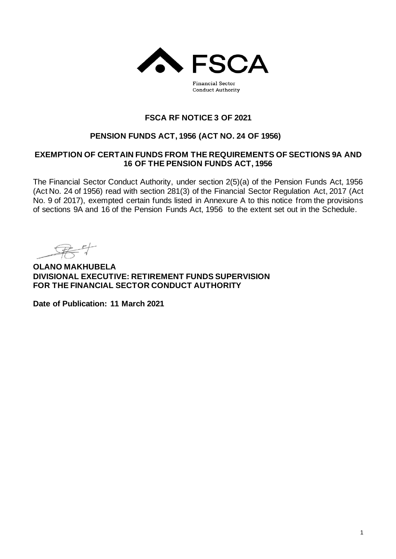

**Conduct Authority** 

# **FSCA RF NOTICE 3 OF 2021**

# **PENSION FUNDS ACT, 1956 (ACT NO. 24 OF 1956)**

## **EXEMPTION OF CERTAIN FUNDS FROM THE REQUIREMENTS OF SECTIONS 9A AND 16 OF THE PENSION FUNDS ACT, 1956**

The Financial Sector Conduct Authority, under section 2(5)(a) of the Pension Funds Act, 1956 (Act No. 24 of 1956) read with section 281(3) of the Financial Sector Regulation Act, 2017 (Act No. 9 of 2017), exempted certain funds listed in Annexure A to this notice from the provisions of sections 9A and 16 of the Pension Funds Act, 1956 to the extent set out in the Schedule.

**OLANO MAKHUBELA DIVISIONAL EXECUTIVE: RETIREMENT FUNDS SUPERVISION FOR THE FINANCIAL SECTOR CONDUCT AUTHORITY**

**Date of Publication: 11 March 2021**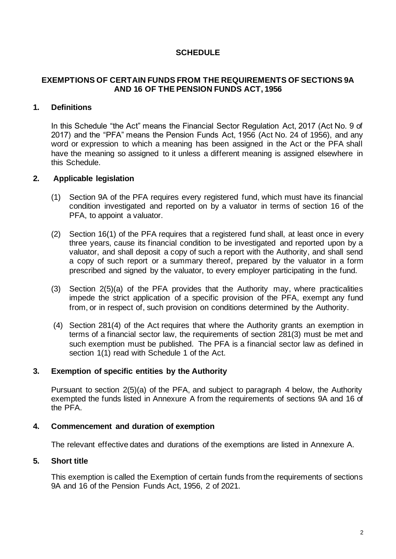# **SCHEDULE**

## **EXEMPTIONS OF CERTAIN FUNDS FROM THE REQUIREMENTS OF SECTIONS 9A AND 16 OF THE PENSION FUNDS ACT, 1956**

## **1. Definitions**

In this Schedule "the Act" means the Financial Sector Regulation Act, 2017 (Act No. 9 of 2017) and the "PFA" means the Pension Funds Act, 1956 (Act No. 24 of 1956), and any word or expression to which a meaning has been assigned in the Act or the PFA shall have the meaning so assigned to it unless a different meaning is assigned elsewhere in this Schedule.

#### **2. Applicable legislation**

- (1) Section 9A of the PFA requires every registered fund, which must have its financial condition investigated and reported on by a valuator in terms of section 16 of the PFA, to appoint a valuator.
- (2) Section 16(1) of the PFA requires that a registered fund shall, at least once in every three years, cause its financial condition to be investigated and reported upon by a valuator, and shall deposit a copy of such a report with the Authority, and shall send a copy of such report or a summary thereof, prepared by the valuator in a form prescribed and signed by the valuator, to every employer participating in the fund.
- (3) Section 2(5)(a) of the PFA provides that the Authority may, where practicalities impede the strict application of a specific provision of the PFA, exempt any fund from, or in respect of, such provision on conditions determined by the Authority.
- (4) Section 281(4) of the Act requires that where the Authority grants an exemption in terms of a financial sector law, the requirements of section 281(3) must be met and such exemption must be published. The PFA is a financial sector law as defined in section 1(1) read with Schedule 1 of the Act.

#### **3. Exemption of specific entities by the Authority**

Pursuant to section 2(5)(a) of the PFA, and subject to paragraph 4 below, the Authority exempted the funds listed in Annexure A from the requirements of sections 9A and 16 of the PFA.

#### **4. Commencement and duration of exemption**

The relevant effective dates and durations of the exemptions are listed in Annexure A.

## **5. Short title**

This exemption is called the Exemption of certain funds from the requirements of sections 9A and 16 of the Pension Funds Act, 1956, 2 of 2021.